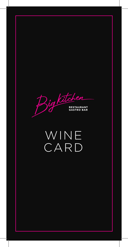Dig Kitchen **RESTAURANT**<br>GASTRO BAR

# WINE CARD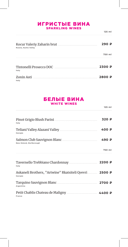### ИГРИСТЫЕ ВИНА SPARKLING WINES

**125 ml**

| Russia, Kacha Valley | 290 $P$             |
|----------------------|---------------------|
|                      | 750 ml              |
| Italy                | 2300 $\overline{P}$ |
| Italy                | 2800 $P$            |

### БЕЛЫЕ ВИНА WHITE WINES

| Italy                                                             | 320 P  |
|-------------------------------------------------------------------|--------|
| Georgia                                                           | 400 P  |
| New Zeland, Marlborough                                           |        |
|                                                                   | 750 ml |
| Italy                                                             |        |
| Askaneli Brothers, "Artwine" Rkatsiteli Qvevri  2500 P<br>Georgia |        |
| Argentina                                                         |        |
| France                                                            |        |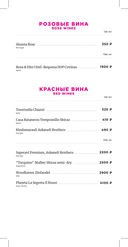### РОЗОВЫЕ ВИНА ROSE WINES

**125 ml**

| Alumia Rose<br>Portugal | 350 P  |
|-------------------------|--------|
|                         | 750 ml |
|                         | 1900P  |

**Spain**

### КРАСНЫЕ ВИНА RED WINES

| Italy                                                                  | 320 P  |
|------------------------------------------------------------------------|--------|
| Spain                                                                  | 410 P  |
| Georgia                                                                | 490 P  |
|                                                                        | 750 ml |
| Georgia                                                                |        |
| Argentina                                                              |        |
| <b>USA</b>                                                             |        |
| Planeta La Segreta Il Rosso <b>Maria 1988</b> 4100 P<br>Italy, Sicilia |        |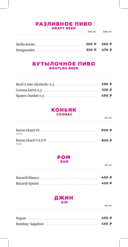### **РАЗЛИВНОЕ ПИВО DRAFT BEER**

|             | 330 ml 500 ml |
|-------------|---------------|
|             |               |
| 260 P 360 P |               |
| 350 P 470 P |               |

### БУТЫЛОЧНОЕ ПИВО **BOOTLED BEER**

| 290P  |
|-------|
| 330 P |
| 490 P |

### **КОНЬЯК** COGNAC

40 ml

| France | 600 P |
|--------|-------|
| France | 850 P |

### **POM RUM**

40 ml

| 400 P |
|-------|
| 450 P |

### ДЖИН **GIN**

| 450 P |
|-------|
| 450 P |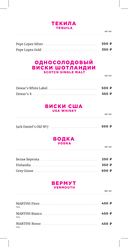### **ТЕКИЛА TEQUILA**

40 ml

| 300 P |
|-------|
| 350 P |

## **ОДНОСОЛОДОВЫЙ ВИСКИ ШОТЛАНДИИ**

40 ml

| 500 P |
|-------|
| 550 P |

### **ВИСКИ США USA WHISKY**

40 ml

|  | 500 P |
|--|-------|

# **BOAKA**

40 ml

| 250P  |
|-------|
| 350 P |
| 500 P |

### **BEPMYT VERMOUTH**

| Italy | 450 P |
|-------|-------|
| Italy | 450 P |
| Italy | 450 P |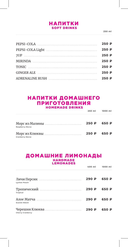### НАПИТКИ SOFT DRINKS

**250 ml**

|                  | 250P |
|------------------|------|
| PEPSI-COLA Light | 250P |
|                  | 250P |
|                  | 250P |
|                  | 250P |
|                  | 250P |
|                  | 250P |
|                  |      |

### НАПИТКИ ДОМАШНЕГО ПРИГОТОВЛЕНИЯ

| <b>HOMEMADE DRINKS</b> |          |           |
|------------------------|----------|-----------|
|                        | $250$ ml | $1000$ ml |
| <b>Raspberry Morse</b> | 250 P    | 650 P     |
| <b>Cranberry Morse</b> | 250 P    | 650 P     |

### ДОМАШНИЕ ЛИМОНАДЫ HANDMADE LEMONADES

|                         |      | 400 ml 1000 ml |
|-------------------------|------|----------------|
| Lychee Peach            | 290P | 650 P          |
| <b>Tropical</b>         | 290P | 650 P          |
| <b>Scarlet Match</b>    | 290P | 650 P          |
| <b>Cherry Cranberry</b> | 290P | 650 P          |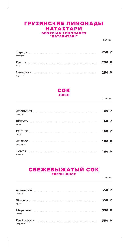## ГРУЗИНСКИЕ ЛИМОНАДЫ **НАТАХТАРИ GEORGIAN LEMONADES**<br>"NATAKHTARI"

500 ml

| Tarragon               | 250P |
|------------------------|------|
| Груша $\ldots$<br>Pear | 250P |
| Saperavi               | 250P |



250 ml

|                 | 160 P |
|-----------------|-------|
| Orange          |       |
| Яблоко<br>Apple | 160 P |
| Cherry          | 160 P |
| Pineapple       | 160 P |
| Tomato          | 160 P |

### СВЕЖЕВЫЖАТЫЙ СОК **FRESH JUICE**

| Orange     | 350 P |
|------------|-------|
| Apple      | 350 P |
| Carrot     | 350 P |
| Grapefruit | 350 P |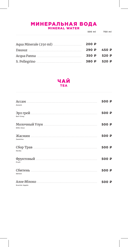# **МИНЕРАЛЬНАЯ ВОДА**

|             | 500 ml 750 ml |
|-------------|---------------|
| 200P        |               |
|             | 290 P 450 P   |
|             | 350 P 520 P   |
| 380 P 520 P |               |



| Assam                | 500 P |
|----------------------|-------|
| Earl Grey            | 500 P |
| Milk Ulun            | 500 P |
| Jasmine              | 500 P |
| Herbs                | 500 P |
| Fruit                | 500 P |
| Sbiten               | 500 P |
| <b>Scarlet Apple</b> | 500 P |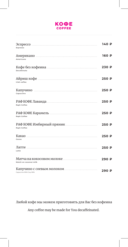

| Espresso                | 140P  |
|-------------------------|-------|
| Americano               | 160 P |
| Decafeinato             | 230P  |
| Irish coffee            | 250 P |
| Capuccino               | 250P  |
| <b>Raph Coffee</b>      | 250 P |
| <b>Raph Coffee</b>      | 250P  |
| <b>Raph Coffee</b>      |       |
| Cocoa                   | 250P  |
| Latte                   | 250P  |
| Match on coconut milk   | 290 P |
| Capuccino With Soy Milk | 290 P |

Любой кофе мы можем приготовить для Вас без кофеина

Any coffee may be made for You decaffeinated.